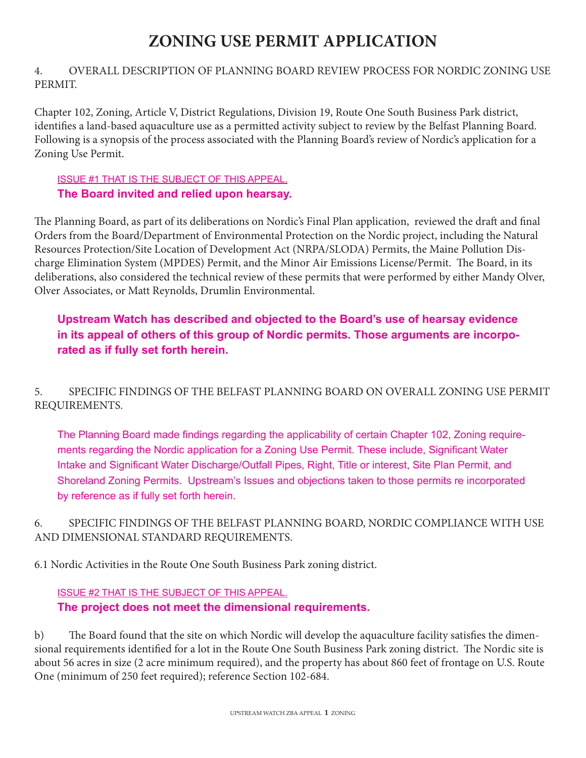# **ZONING USE PERMIT APPLICATION**

## 4. OVERALL DESCRIPTION OF PLANNING BOARD REVIEW PROCESS FOR NORDIC ZONING USE PERMIT.

Chapter 102, Zoning, Article V, District Regulations, Division 19, Route One South Business Park district, identifies a land-based aquaculture use as a permitted activity subject to review by the Belfast Planning Board. Following is a synopsis of the process associated with the Planning Board's review of Nordic's application for a Zoning Use Permit.

## ISSUE #1 THAT IS THE SUBJECT OF THIS APPEAL. **The Board invited and relied upon hearsay.**

The Planning Board, as part of its deliberations on Nordic's Final Plan application, reviewed the draft and final Orders from the Board/Department of Environmental Protection on the Nordic project, including the Natural Resources Protection/Site Location of Development Act (NRPA/SLODA) Permits, the Maine Pollution Discharge Elimination System (MPDES) Permit, and the Minor Air Emissions License/Permit. The Board, in its deliberations, also considered the technical review of these permits that were performed by either Mandy Olver, Olver Associates, or Matt Reynolds, Drumlin Environmental.

# **Upstream Watch has described and objected to the Board's use of hearsay evidence in its appeal of others of this group of Nordic permits. Those arguments are incorporated as if fully set forth herein.**

# 5. SPECIFIC FINDINGS OF THE BELFAST PLANNING BOARD ON OVERALL ZONING USE PERMIT REQUIREMENTS.

The Planning Board made findings regarding the applicability of certain Chapter 102, Zoning requirements regarding the Nordic application for a Zoning Use Permit. These include, Significant Water Intake and Significant Water Discharge/Outfall Pipes, Right, Title or interest, Site Plan Permit, and Shoreland Zoning Permits. Upstream's Issues and objections taken to those permits re incorporated by reference as if fully set forth herein.

## 6. SPECIFIC FINDINGS OF THE BELFAST PLANNING BOARD, NORDIC COMPLIANCE WITH USE AND DIMENSIONAL STANDARD REQUIREMENTS.

6.1 Nordic Activities in the Route One South Business Park zoning district.

## ISSUE #2 THAT IS THE SUBJECT OF THIS APPEAL.

# **The project does not meet the dimensional requirements.**

b) The Board found that the site on which Nordic will develop the aquaculture facility satisfies the dimensional requirements identified for a lot in the Route One South Business Park zoning district. The Nordic site is about 56 acres in size (2 acre minimum required), and the property has about 860 feet of frontage on U.S. Route One (minimum of 250 feet required); reference Section 102-684.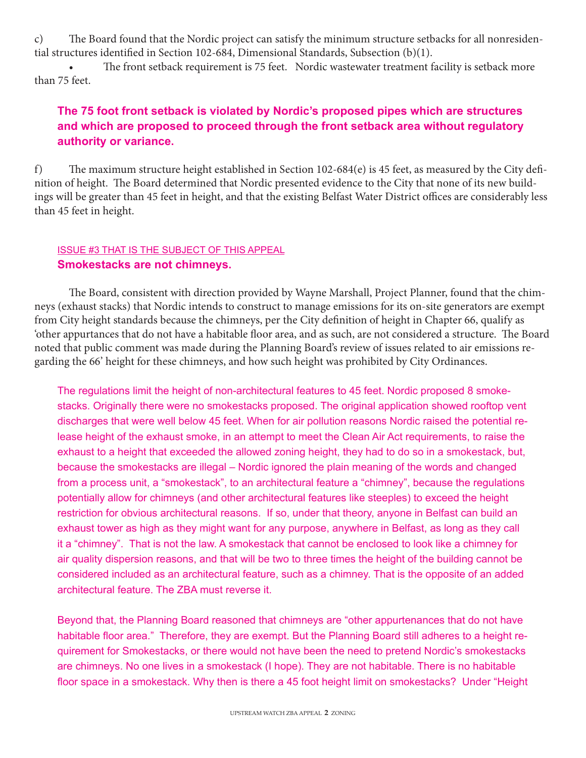c) The Board found that the Nordic project can satisfy the minimum structure setbacks for all nonresidential structures identified in Section 102-684, Dimensional Standards, Subsection (b)(1).

The front setback requirement is 75 feet. Nordic wastewater treatment facility is setback more than 75 feet.

# **The 75 foot front setback is violated by Nordic's proposed pipes which are structures and which are proposed to proceed through the front setback area without regulatory authority or variance.**

f) The maximum structure height established in Section 102-684(e) is 45 feet, as measured by the City definition of height. The Board determined that Nordic presented evidence to the City that none of its new buildings will be greater than 45 feet in height, and that the existing Belfast Water District offices are considerably less than 45 feet in height.

## ISSUE #3 THAT IS THE SUBJECT OF THIS APPEAL **Smokestacks are not chimneys.**

The Board, consistent with direction provided by Wayne Marshall, Project Planner, found that the chimneys (exhaust stacks) that Nordic intends to construct to manage emissions for its on-site generators are exempt from City height standards because the chimneys, per the City definition of height in Chapter 66, qualify as 'other appurtances that do not have a habitable floor area, and as such, are not considered a structure. The Board noted that public comment was made during the Planning Board's review of issues related to air emissions regarding the 66' height for these chimneys, and how such height was prohibited by City Ordinances.

The regulations limit the height of non-architectural features to 45 feet. Nordic proposed 8 smokestacks. Originally there were no smokestacks proposed. The original application showed rooftop vent discharges that were well below 45 feet. When for air pollution reasons Nordic raised the potential release height of the exhaust smoke, in an attempt to meet the Clean Air Act requirements, to raise the exhaust to a height that exceeded the allowed zoning height, they had to do so in a smokestack, but, because the smokestacks are illegal – Nordic ignored the plain meaning of the words and changed from a process unit, a "smokestack", to an architectural feature a "chimney", because the regulations potentially allow for chimneys (and other architectural features like steeples) to exceed the height restriction for obvious architectural reasons. If so, under that theory, anyone in Belfast can build an exhaust tower as high as they might want for any purpose, anywhere in Belfast, as long as they call it a "chimney". That is not the law. A smokestack that cannot be enclosed to look like a chimney for air quality dispersion reasons, and that will be two to three times the height of the building cannot be considered included as an architectural feature, such as a chimney. That is the opposite of an added architectural feature. The ZBA must reverse it.

Beyond that, the Planning Board reasoned that chimneys are "other appurtenances that do not have habitable floor area." Therefore, they are exempt. But the Planning Board still adheres to a height requirement for Smokestacks, or there would not have been the need to pretend Nordic's smokestacks are chimneys. No one lives in a smokestack (I hope). They are not habitable. There is no habitable floor space in a smokestack. Why then is there a 45 foot height limit on smokestacks? Under "Height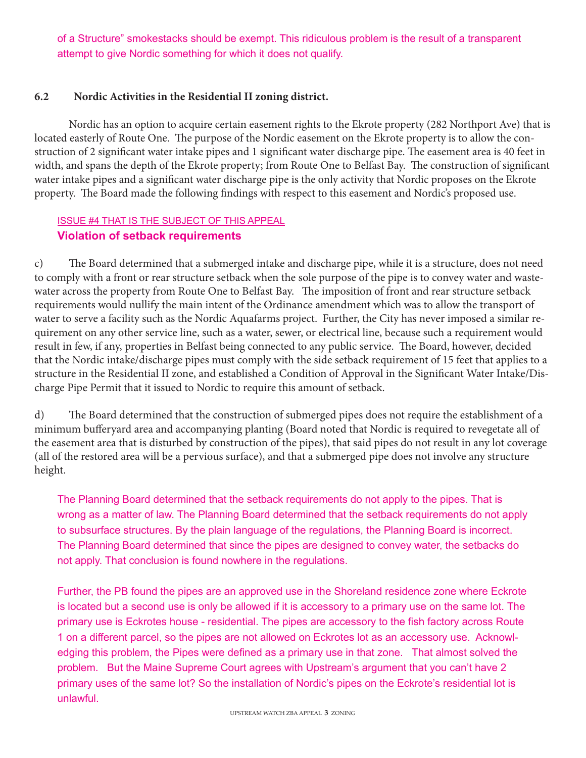of a Structure" smokestacks should be exempt. This ridiculous problem is the result of a transparent attempt to give Nordic something for which it does not qualify.

#### **6.2 Nordic Activities in the Residential II zoning district.**

Nordic has an option to acquire certain easement rights to the Ekrote property (282 Northport Ave) that is located easterly of Route One. The purpose of the Nordic easement on the Ekrote property is to allow the construction of 2 significant water intake pipes and 1 significant water discharge pipe. The easement area is 40 feet in width, and spans the depth of the Ekrote property; from Route One to Belfast Bay. The construction of significant water intake pipes and a significant water discharge pipe is the only activity that Nordic proposes on the Ekrote property. The Board made the following findings with respect to this easement and Nordic's proposed use.

## ISSUE #4 THAT IS THE SUBJECT OF THIS APPEAL **Violation of setback requirements**

c) The Board determined that a submerged intake and discharge pipe, while it is a structure, does not need to comply with a front or rear structure setback when the sole purpose of the pipe is to convey water and wastewater across the property from Route One to Belfast Bay. The imposition of front and rear structure setback requirements would nullify the main intent of the Ordinance amendment which was to allow the transport of water to serve a facility such as the Nordic Aquafarms project. Further, the City has never imposed a similar requirement on any other service line, such as a water, sewer, or electrical line, because such a requirement would result in few, if any, properties in Belfast being connected to any public service. The Board, however, decided that the Nordic intake/discharge pipes must comply with the side setback requirement of 15 feet that applies to a structure in the Residential II zone, and established a Condition of Approval in the Significant Water Intake/Discharge Pipe Permit that it issued to Nordic to require this amount of setback.

d) The Board determined that the construction of submerged pipes does not require the establishment of a minimum bufferyard area and accompanying planting (Board noted that Nordic is required to revegetate all of the easement area that is disturbed by construction of the pipes), that said pipes do not result in any lot coverage (all of the restored area will be a pervious surface), and that a submerged pipe does not involve any structure height.

The Planning Board determined that the setback requirements do not apply to the pipes. That is wrong as a matter of law. The Planning Board determined that the setback requirements do not apply to subsurface structures. By the plain language of the regulations, the Planning Board is incorrect. The Planning Board determined that since the pipes are designed to convey water, the setbacks do not apply. That conclusion is found nowhere in the regulations.

Further, the PB found the pipes are an approved use in the Shoreland residence zone where Eckrote is located but a second use is only be allowed if it is accessory to a primary use on the same lot. The primary use is Eckrotes house - residential. The pipes are accessory to the fish factory across Route 1 on a different parcel, so the pipes are not allowed on Eckrotes lot as an accessory use. Acknowledging this problem, the Pipes were defined as a primary use in that zone. That almost solved the problem. But the Maine Supreme Court agrees with Upstream's argument that you can't have 2 primary uses of the same lot? So the installation of Nordic's pipes on the Eckrote's residential lot is unlawful.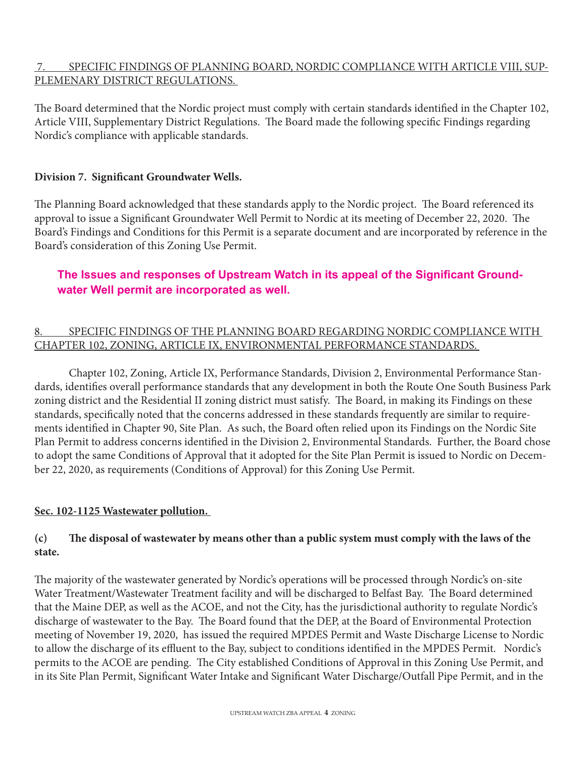## 7. SPECIFIC FINDINGS OF PLANNING BOARD, NORDIC COMPLIANCE WITH ARTICLE VIII, SUP-PLEMENARY DISTRICT REGULATIONS.

The Board determined that the Nordic project must comply with certain standards identified in the Chapter 102, Article VIII, Supplementary District Regulations. The Board made the following specific Findings regarding Nordic's compliance with applicable standards.

#### **Division 7. Significant Groundwater Wells.**

The Planning Board acknowledged that these standards apply to the Nordic project. The Board referenced its approval to issue a Significant Groundwater Well Permit to Nordic at its meeting of December 22, 2020. The Board's Findings and Conditions for this Permit is a separate document and are incorporated by reference in the Board's consideration of this Zoning Use Permit.

# **The Issues and responses of Upstream Watch in its appeal of the Significant Groundwater Well permit are incorporated as well.**

## 8. SPECIFIC FINDINGS OF THE PLANNING BOARD REGARDING NORDIC COMPLIANCE WITH CHAPTER 102, ZONING, ARTICLE IX, ENVIRONMENTAL PERFORMANCE STANDARDS.

Chapter 102, Zoning, Article IX, Performance Standards, Division 2, Environmental Performance Standards, identifies overall performance standards that any development in both the Route One South Business Park zoning district and the Residential II zoning district must satisfy. The Board, in making its Findings on these standards, specifically noted that the concerns addressed in these standards frequently are similar to requirements identified in Chapter 90, Site Plan. As such, the Board often relied upon its Findings on the Nordic Site Plan Permit to address concerns identified in the Division 2, Environmental Standards. Further, the Board chose to adopt the same Conditions of Approval that it adopted for the Site Plan Permit is issued to Nordic on December 22, 2020, as requirements (Conditions of Approval) for this Zoning Use Permit.

## **Sec. 102-1125 Wastewater pollution.**

## **(c) The disposal of wastewater by means other than a public system must comply with the laws of the state.**

The majority of the wastewater generated by Nordic's operations will be processed through Nordic's on-site Water Treatment/Wastewater Treatment facility and will be discharged to Belfast Bay. The Board determined that the Maine DEP, as well as the ACOE, and not the City, has the jurisdictional authority to regulate Nordic's discharge of wastewater to the Bay. The Board found that the DEP, at the Board of Environmental Protection meeting of November 19, 2020, has issued the required MPDES Permit and Waste Discharge License to Nordic to allow the discharge of its effluent to the Bay, subject to conditions identified in the MPDES Permit. Nordic's permits to the ACOE are pending. The City established Conditions of Approval in this Zoning Use Permit, and in its Site Plan Permit, Significant Water Intake and Significant Water Discharge/Outfall Pipe Permit, and in the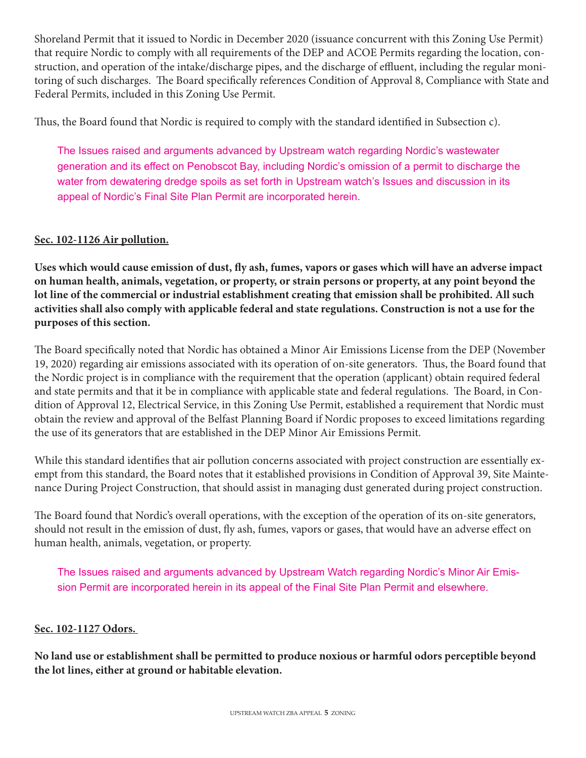Shoreland Permit that it issued to Nordic in December 2020 (issuance concurrent with this Zoning Use Permit) that require Nordic to comply with all requirements of the DEP and ACOE Permits regarding the location, construction, and operation of the intake/discharge pipes, and the discharge of effluent, including the regular monitoring of such discharges. The Board specifically references Condition of Approval 8, Compliance with State and Federal Permits, included in this Zoning Use Permit.

Thus, the Board found that Nordic is required to comply with the standard identified in Subsection c).

The Issues raised and arguments advanced by Upstream watch regarding Nordic's wastewater generation and its effect on Penobscot Bay, including Nordic's omission of a permit to discharge the water from dewatering dredge spoils as set forth in Upstream watch's Issues and discussion in its appeal of Nordic's Final Site Plan Permit are incorporated herein.

## **Sec. 102-1126 Air pollution.**

**Uses which would cause emission of dust, fly ash, fumes, vapors or gases which will have an adverse impact on human health, animals, vegetation, or property, or strain persons or property, at any point beyond the lot line of the commercial or industrial establishment creating that emission shall be prohibited. All such activities shall also comply with applicable federal and state regulations. Construction is not a use for the purposes of this section.**

The Board specifically noted that Nordic has obtained a Minor Air Emissions License from the DEP (November 19, 2020) regarding air emissions associated with its operation of on-site generators. Thus, the Board found that the Nordic project is in compliance with the requirement that the operation (applicant) obtain required federal and state permits and that it be in compliance with applicable state and federal regulations. The Board, in Condition of Approval 12, Electrical Service, in this Zoning Use Permit, established a requirement that Nordic must obtain the review and approval of the Belfast Planning Board if Nordic proposes to exceed limitations regarding the use of its generators that are established in the DEP Minor Air Emissions Permit.

While this standard identifies that air pollution concerns associated with project construction are essentially exempt from this standard, the Board notes that it established provisions in Condition of Approval 39, Site Maintenance During Project Construction, that should assist in managing dust generated during project construction.

The Board found that Nordic's overall operations, with the exception of the operation of its on-site generators, should not result in the emission of dust, fly ash, fumes, vapors or gases, that would have an adverse effect on human health, animals, vegetation, or property.

The Issues raised and arguments advanced by Upstream Watch regarding Nordic's Minor Air Emission Permit are incorporated herein in its appeal of the Final Site Plan Permit and elsewhere.

#### **Sec. 102-1127 Odors.**

**No land use or establishment shall be permitted to produce noxious or harmful odors perceptible beyond the lot lines, either at ground or habitable elevation.**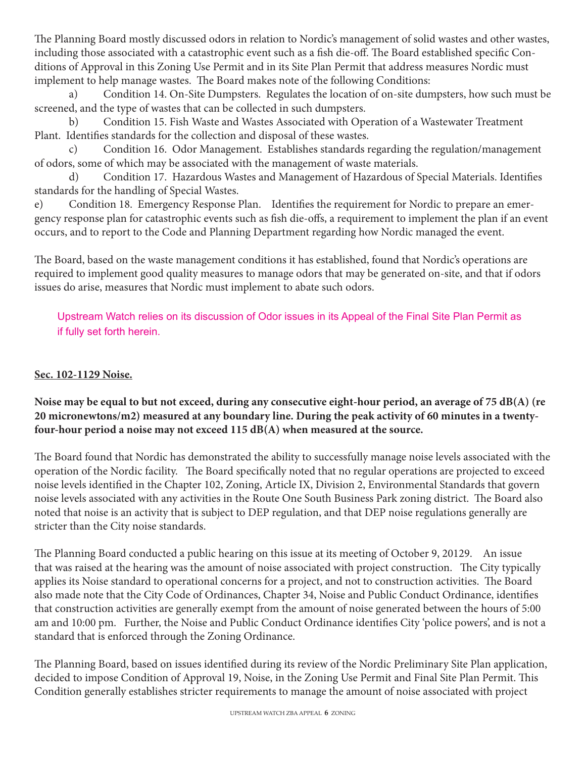The Planning Board mostly discussed odors in relation to Nordic's management of solid wastes and other wastes, including those associated with a catastrophic event such as a fish die-off. The Board established specific Conditions of Approval in this Zoning Use Permit and in its Site Plan Permit that address measures Nordic must implement to help manage wastes. The Board makes note of the following Conditions:

a) Condition 14. On-Site Dumpsters. Regulates the location of on-site dumpsters, how such must be screened, and the type of wastes that can be collected in such dumpsters.

b) Condition 15. Fish Waste and Wastes Associated with Operation of a Wastewater Treatment Plant. Identifies standards for the collection and disposal of these wastes.

c) Condition 16. Odor Management. Establishes standards regarding the regulation/management of odors, some of which may be associated with the management of waste materials.

d) Condition 17. Hazardous Wastes and Management of Hazardous of Special Materials. Identifies standards for the handling of Special Wastes.

e) Condition 18. Emergency Response Plan. Identifies the requirement for Nordic to prepare an emergency response plan for catastrophic events such as fish die-offs, a requirement to implement the plan if an event occurs, and to report to the Code and Planning Department regarding how Nordic managed the event.

The Board, based on the waste management conditions it has established, found that Nordic's operations are required to implement good quality measures to manage odors that may be generated on-site, and that if odors issues do arise, measures that Nordic must implement to abate such odors.

Upstream Watch relies on its discussion of Odor issues in its Appeal of the Final Site Plan Permit as if fully set forth herein.

## **Sec. 102-1129 Noise.**

## **Noise may be equal to but not exceed, during any consecutive eight-hour period, an average of 75 dB(A) (re 20 micronewtons/m2) measured at any boundary line. During the peak activity of 60 minutes in a twentyfour-hour period a noise may not exceed 115 dB(A) when measured at the source.**

The Board found that Nordic has demonstrated the ability to successfully manage noise levels associated with the operation of the Nordic facility. The Board specifically noted that no regular operations are projected to exceed noise levels identified in the Chapter 102, Zoning, Article IX, Division 2, Environmental Standards that govern noise levels associated with any activities in the Route One South Business Park zoning district. The Board also noted that noise is an activity that is subject to DEP regulation, and that DEP noise regulations generally are stricter than the City noise standards.

The Planning Board conducted a public hearing on this issue at its meeting of October 9, 20129. An issue that was raised at the hearing was the amount of noise associated with project construction. The City typically applies its Noise standard to operational concerns for a project, and not to construction activities. The Board also made note that the City Code of Ordinances, Chapter 34, Noise and Public Conduct Ordinance, identifies that construction activities are generally exempt from the amount of noise generated between the hours of 5:00 am and 10:00 pm. Further, the Noise and Public Conduct Ordinance identifies City 'police powers', and is not a standard that is enforced through the Zoning Ordinance.

The Planning Board, based on issues identified during its review of the Nordic Preliminary Site Plan application, decided to impose Condition of Approval 19, Noise, in the Zoning Use Permit and Final Site Plan Permit. This Condition generally establishes stricter requirements to manage the amount of noise associated with project